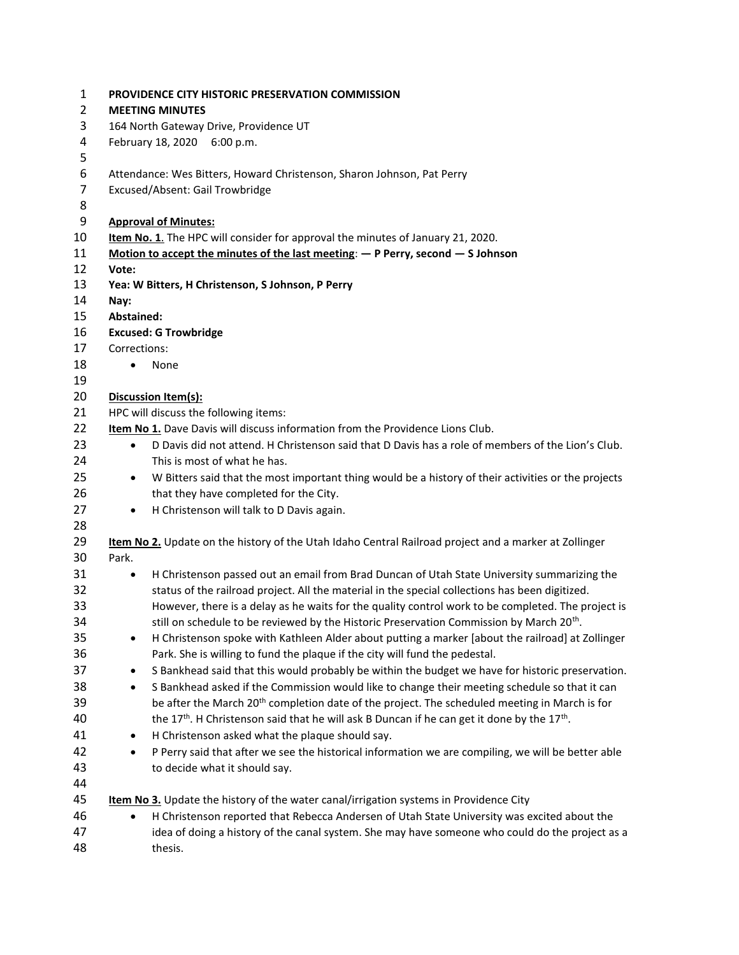| $\mathbf{1}$   | PROVIDENCE CITY HISTORIC PRESERVATION COMMISSION                                                                 |  |  |
|----------------|------------------------------------------------------------------------------------------------------------------|--|--|
| $\overline{2}$ | <b>MEETING MINUTES</b>                                                                                           |  |  |
| 3              | 164 North Gateway Drive, Providence UT                                                                           |  |  |
| 4              | February 18, 2020 6:00 p.m.                                                                                      |  |  |
| 5              |                                                                                                                  |  |  |
| 6              | Attendance: Wes Bitters, Howard Christenson, Sharon Johnson, Pat Perry                                           |  |  |
| $\overline{7}$ | Excused/Absent: Gail Trowbridge                                                                                  |  |  |
| 8              |                                                                                                                  |  |  |
| 9              | <b>Approval of Minutes:</b>                                                                                      |  |  |
| 10             | Item No. 1. The HPC will consider for approval the minutes of January 21, 2020.                                  |  |  |
| 11             | Motion to accept the minutes of the last meeting: $-$ P Perry, second $-$ S Johnson                              |  |  |
| 12             | Vote:                                                                                                            |  |  |
| 13             | Yea: W Bitters, H Christenson, S Johnson, P Perry                                                                |  |  |
| 14             | Nay:                                                                                                             |  |  |
| 15             | <b>Abstained:</b>                                                                                                |  |  |
| 16             | <b>Excused: G Trowbridge</b>                                                                                     |  |  |
| 17             | Corrections:                                                                                                     |  |  |
| 18             | None<br>$\bullet$                                                                                                |  |  |
| 19             |                                                                                                                  |  |  |
| 20             | Discussion Item(s):                                                                                              |  |  |
| 21             | HPC will discuss the following items:                                                                            |  |  |
| 22             | Item No 1. Dave Davis will discuss information from the Providence Lions Club.                                   |  |  |
| 23             | D Davis did not attend. H Christenson said that D Davis has a role of members of the Lion's Club.<br>$\bullet$   |  |  |
| 24             | This is most of what he has.                                                                                     |  |  |
| 25             |                                                                                                                  |  |  |
|                | W Bitters said that the most important thing would be a history of their activities or the projects<br>$\bullet$ |  |  |
| 26             | that they have completed for the City.                                                                           |  |  |
| 27             | H Christenson will talk to D Davis again.<br>$\bullet$                                                           |  |  |
| 28             |                                                                                                                  |  |  |
| 29             | Item No 2. Update on the history of the Utah Idaho Central Railroad project and a marker at Zollinger            |  |  |
| 30             | Park.                                                                                                            |  |  |
| 31             | H Christenson passed out an email from Brad Duncan of Utah State University summarizing the<br>$\bullet$         |  |  |
| 32             | status of the railroad project. All the material in the special collections has been digitized.                  |  |  |
| 33             | However, there is a delay as he waits for the quality control work to be completed. The project is               |  |  |
| 34             | still on schedule to be reviewed by the Historic Preservation Commission by March 20 <sup>th</sup> .             |  |  |
| 35             | H Christenson spoke with Kathleen Alder about putting a marker [about the railroad] at Zollinger<br>$\bullet$    |  |  |
| 36             | Park. She is willing to fund the plaque if the city will fund the pedestal.                                      |  |  |
| 37             | S Bankhead said that this would probably be within the budget we have for historic preservation.<br>$\bullet$    |  |  |
| 38             | S Bankhead asked if the Commission would like to change their meeting schedule so that it can<br>$\bullet$       |  |  |
| 39             | be after the March 20 <sup>th</sup> completion date of the project. The scheduled meeting in March is for        |  |  |
| 40             | the 17th. H Christenson said that he will ask B Duncan if he can get it done by the 17th.                        |  |  |
| 41             | H Christenson asked what the plaque should say.<br>$\bullet$                                                     |  |  |
| 42             | P Perry said that after we see the historical information we are compiling, we will be better able<br>$\bullet$  |  |  |
| 43             | to decide what it should say.                                                                                    |  |  |
| 44             |                                                                                                                  |  |  |
| 45             | Item No 3. Update the history of the water canal/irrigation systems in Providence City                           |  |  |
| 46             | H Christenson reported that Rebecca Andersen of Utah State University was excited about the                      |  |  |
| 47             | idea of doing a history of the canal system. She may have someone who could do the project as a                  |  |  |
| 48             | thesis.                                                                                                          |  |  |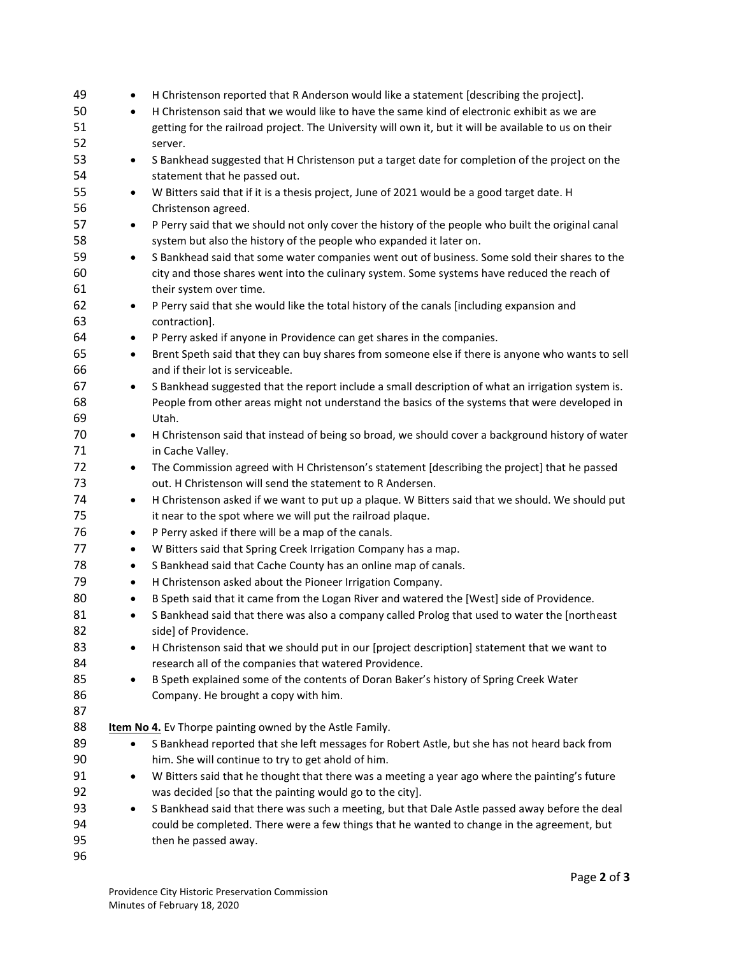| 49       | $\bullet$ | H Christenson reported that R Anderson would like a statement [describing the project].               |
|----------|-----------|-------------------------------------------------------------------------------------------------------|
| 50       | $\bullet$ | H Christenson said that we would like to have the same kind of electronic exhibit as we are           |
| 51       |           | getting for the railroad project. The University will own it, but it will be available to us on their |
| 52       |           | server.                                                                                               |
| 53       | $\bullet$ | S Bankhead suggested that H Christenson put a target date for completion of the project on the        |
| 54       |           | statement that he passed out.                                                                         |
| 55       | $\bullet$ | W Bitters said that if it is a thesis project, June of 2021 would be a good target date. H            |
| 56       |           | Christenson agreed.                                                                                   |
| 57       | $\bullet$ | P Perry said that we should not only cover the history of the people who built the original canal     |
| 58       |           | system but also the history of the people who expanded it later on.                                   |
| 59       | $\bullet$ | S Bankhead said that some water companies went out of business. Some sold their shares to the         |
| 60       |           | city and those shares went into the culinary system. Some systems have reduced the reach of           |
| 61       |           | their system over time.                                                                               |
| 62       | $\bullet$ | P Perry said that she would like the total history of the canals [including expansion and             |
| 63       |           | contraction].                                                                                         |
| 64       | $\bullet$ | P Perry asked if anyone in Providence can get shares in the companies.                                |
| 65       | $\bullet$ | Brent Speth said that they can buy shares from someone else if there is anyone who wants to sell      |
| 66       |           | and if their lot is serviceable.                                                                      |
| 67       | $\bullet$ | S Bankhead suggested that the report include a small description of what an irrigation system is.     |
| 68       |           | People from other areas might not understand the basics of the systems that were developed in         |
| 69       |           | Utah.                                                                                                 |
| 70       |           | H Christenson said that instead of being so broad, we should cover a background history of water      |
| 71       | $\bullet$ |                                                                                                       |
|          |           | in Cache Valley.                                                                                      |
| 72<br>73 | $\bullet$ | The Commission agreed with H Christenson's statement [describing the project] that he passed          |
|          |           | out. H Christenson will send the statement to R Andersen.                                             |
| 74       | $\bullet$ | H Christenson asked if we want to put up a plaque. W Bitters said that we should. We should put       |
| 75       |           | it near to the spot where we will put the railroad plaque.                                            |
| 76       | $\bullet$ | P Perry asked if there will be a map of the canals.                                                   |
| 77       | $\bullet$ | W Bitters said that Spring Creek Irrigation Company has a map.                                        |
| 78       | $\bullet$ | S Bankhead said that Cache County has an online map of canals.                                        |
| 79       | $\bullet$ | H Christenson asked about the Pioneer Irrigation Company.                                             |
| 80       | $\bullet$ | B Speth said that it came from the Logan River and watered the [West] side of Providence.             |
| 81       | $\bullet$ | S Bankhead said that there was also a company called Prolog that used to water the [northeast         |
| 82       |           | side] of Providence.                                                                                  |
| 83       | ٠         | H Christenson said that we should put in our [project description] statement that we want to          |
| 84       |           | research all of the companies that watered Providence.                                                |
| 85       | $\bullet$ | B Speth explained some of the contents of Doran Baker's history of Spring Creek Water                 |
| 86       |           | Company. He brought a copy with him.                                                                  |
| 87       |           |                                                                                                       |
| 88       |           | Item No 4. Ev Thorpe painting owned by the Astle Family.                                              |
| 89       | $\bullet$ | S Bankhead reported that she left messages for Robert Astle, but she has not heard back from          |
| 90       |           | him. She will continue to try to get ahold of him.                                                    |
| 91       | $\bullet$ | W Bitters said that he thought that there was a meeting a year ago where the painting's future        |
| 92       |           | was decided [so that the painting would go to the city].                                              |
| 93       | $\bullet$ | S Bankhead said that there was such a meeting, but that Dale Astle passed away before the deal        |
| 94       |           | could be completed. There were a few things that he wanted to change in the agreement, but            |
| 95       |           | then he passed away.                                                                                  |
| 96       |           |                                                                                                       |